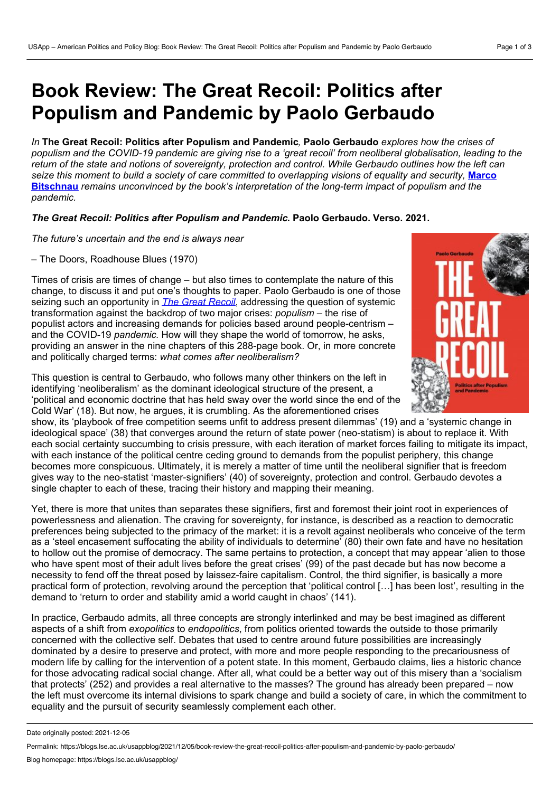# **Book Review: The Great Recoil: Politics after Populism and Pandemic by Paolo Gerbaudo**

*In* **The Great Recoil: Politics after Populism and Pandemic***,* **Paolo Gerbaudo** *explores how the crises of* populism and the COVID-19 pandemic are giving rise to a 'great recoil' from neoliberal globalisation, leading to the return of the state and notions of sovereignty, protection and control. While Gerbaudo outlines how the left can seize this moment to build a society of care committed to overlapping visions of equality and security. Marco **Bitschnau** *remains unconvinced by the book's [interpretation](https://wp.me/p3I2YF-blU#Author) of the long-term impact of populism and the pandemic.*

#### *The Great Recoil: Politics after Populism and Pandemic***. Paolo Gerbaudo. Verso. 2021.**

*The future's uncertain and the end is always near*

– The Doors, Roadhouse Blues (1970)

Times of crisis are times of change – but also times to contemplate the nature of this change, to discuss it and put one's thoughts to paper. Paolo Gerbaudo is one of those seizing such an opportunity in *The Great [Recoil](https://www.versobooks.com/books/3774-the-great-recoil)*, addressing the question of systemic transformation against the backdrop of two major crises: *populism* – the rise of populist actors and increasing demands for policies based around people-centrism – and the COVID-19 *pandemic.* How will they shape the world of tomorrow, he asks, providing an answer in the nine chapters of this 288-page book. Or, in more concrete and politically charged terms: *what comes after neoliberalism?*

This question is central to Gerbaudo, who follows many other thinkers on the left in identifying 'neoliberalism' as the dominant ideological structure of the present, a 'political and economic doctrine that has held sway over the world since the end of the Cold War' (18). But now, he argues, it is crumbling. As the aforementioned crises

show, its 'playbook of free competition seems unfit to address present dilemmas' (19) and a 'systemic change in ideological space' (38) that converges around the return of state power (neo-statism) is about to replace it. With each social certainty succumbing to crisis pressure, with each iteration of market forces failing to mitigate its impact, with each instance of the political centre ceding ground to demands from the populist periphery, this change becomes more conspicuous. Ultimately, it is merely a matter of time until the neoliberal signifier that is freedom gives way to the neo-statist 'master-signifiers' (40) of sovereignty, protection and control. Gerbaudo devotes a single chapter to each of these, tracing their history and mapping their meaning.

Yet, there is more that unites than separates these signifiers, first and foremost their joint root in experiences of powerlessness and alienation. The craving for sovereignty, for instance, is described as a reaction to democratic preferences being subjected to the primacy of the market: it is a revolt against neoliberals who conceive of the term as a 'steel encasement suffocating the ability of individuals to determine' (80) their own fate and have no hesitation to hollow out the promise of democracy. The same pertains to protection, a concept that may appear 'alien to those who have spent most of their adult lives before the great crises' (99) of the past decade but has now become a necessity to fend off the threat posed by laissez-faire capitalism. Control, the third signifier, is basically a more practical form of protection, revolving around the perception that 'political control […] has been lost', resulting in the demand to 'return to order and stability amid a world caught in chaos' (141).

In practice, Gerbaudo admits, all three concepts are strongly interlinked and may be best imagined as different aspects of a shift from *exopolitics* to *endopolitics*, from politics oriented towards the outside to those primarily concerned with the collective self. Debates that used to centre around future possibilities are increasingly dominated by a desire to preserve and protect, with more and more people responding to the precariousness of modern life by calling for the intervention of a potent state. In this moment, Gerbaudo claims, lies a historic chance for those advocating radical social change. After all, what could be a better way out of this misery than a 'socialism that protects' (252) and provides a real alternative to the masses? The ground has already been prepared – now the left must overcome its internal divisions to spark change and build a society of care, in which the commitment to equality and the pursuit of security seamlessly complement each other.



Date originally posted: 2021-12-05

Permalink: https://blogs.lse.ac.uk/usappblog/2021/12/05/book-review-the-great-recoil-politics-after-populism-and-pandemic-by-paolo-gerbaudo/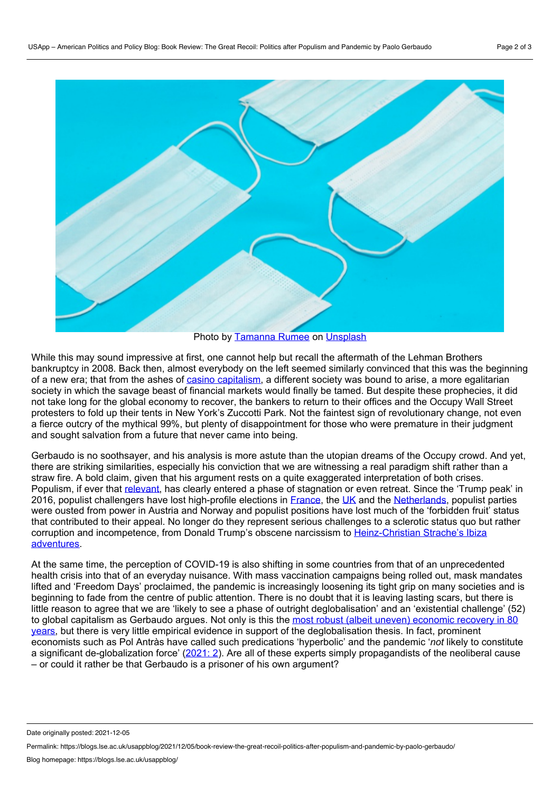

Photo by [Tamanna](https://unsplash.com/@tamanna_rumee?utm_source=unsplash&utm_medium=referral&utm_content=creditCopyText) Rumee on [Unsplash](https://unsplash.com/?utm_source=unsplash&utm_medium=referral&utm_content=creditCopyText)

While this may sound impressive at first, one cannot help but recall the aftermath of the Lehman Brothers bankruptcy in 2008. Back then, almost everybody on the left seemed similarly convinced that this was the beginning of a new era; that from the ashes of casino [capitalism,](https://manchesteruniversitypress.co.uk/9781784991340/) a different society was bound to arise, a more egalitarian society in which the savage beast of financial markets would finally be tamed. But despite these prophecies, it did not take long for the global economy to recover, the bankers to return to their offices and the Occupy Wall Street protesters to fold up their tents in New York's Zuccotti Park. Not the faintest sign of revolutionary change, not even a fierce outcry of the mythical 99%, but plenty of disappointment for those who were premature in their judgment and sought salvation from a future that never came into being.

Gerbaudo is no soothsayer, and his analysis is more astute than the utopian dreams of the Occupy crowd. And yet, there are striking similarities, especially his conviction that we are witnessing a real paradigm shift rather than a straw fire. A bold claim, given that his argument rests on a quite exaggerated interpretation of both crises. Populism, if ever that [relevant](https://www.cambridge.org/core/journals/perspectives-on-politics/article/abs/myth-of-global-populism/4768B361D346DADE91D3C150011CB999), has clearly entered a phase of stagnation or even retreat. Since the 'Trump peak' in 2016, populist challengers have lost high-profile elections in [France,](https://www.thetimes.co.uk/article/landslide-for-macron-fns37zvpq) the [UK](https://www.economist.com/britain/2019/12/13/jeremy-corbyns-crushing-defeat) and the [Netherlands](https://www.bloomberg.com/news/articles/2021-03-17/dutch-hand-fourth-term-to-prime-minister-rutte-exit-poll-shows), populist parties were ousted from power in Austria and Norway and populist positions have lost much of the 'forbidden fruit' status that contributed to their appeal. No longer do they represent serious challenges to a sclerotic status quo but rather corruption and incompetence, from Donald Trump's obscene narcissism to [Heinz-Christian](https://www.bbc.co.uk/news/world-europe-58354887) Strache's Ibiza adventures.

At the same time, the perception of COVID-19 is also shifting in some countries from that of an unprecedented health crisis into that of an everyday nuisance. With mass vaccination campaigns being rolled out, mask mandates lifted and 'Freedom Days' proclaimed, the pandemic is increasingly loosening its tight grip on many societies and is beginning to fade from the centre of public attention. There is no doubt that it is leaving lasting scars, but there is little reason to agree that we are 'likely to see a phase of outright deglobalisation' and an 'existential challenge' (52) to global capitalism as Gerbaudo argues. Not only is this the most robust (albeit uneven) economic recovery in 80 years, but there is very little empirical evidence in support of the [deglobalisation](https://openknowledge.worldbank.org/bitstream/handle/10986/35647/9781464816659.pdf) thesis. In fact, prominent economists such as Pol Antràs have called such predications 'hyperbolic' and the pandemic '*not* likely to constitute a significant de-globalization force' [\(2021:](https://scholar.harvard.edu/antras/publications/de-globalisation-global-value-chains-post-covid-19-age) 2). Are all of these experts simply propagandists of the neoliberal cause – or could it rather be that Gerbaudo is a prisoner of his own argument?

Date originally posted: 2021-12-05

Permalink: https://blogs.lse.ac.uk/usappblog/2021/12/05/book-review-the-great-recoil-politics-after-populism-and-pandemic-by-paolo-gerbaudo/